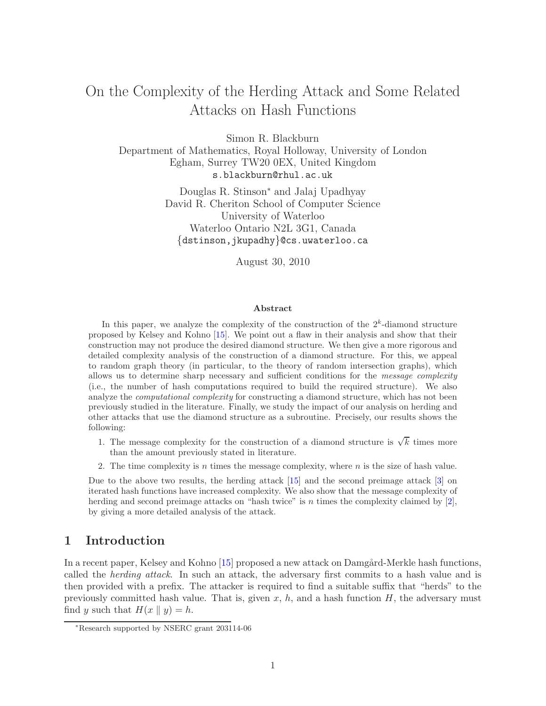# On the Complexity of the Herding Attack and Some Related Attacks on Hash Functions

Simon R. Blackburn Department of Mathematics, Royal Holloway, University of London Egham, Surrey TW20 0EX, United Kingdom s.blackburn@rhul.ac.uk

> Douglas R. Stinson<sup>∗</sup> and Jalaj Upadhyay David R. Cheriton School of Computer Science University of Waterloo Waterloo Ontario N2L 3G1, Canada {dstinson,jkupadhy}@cs.uwaterloo.ca

> > August 30, 2010

### Abstract

In this paper, we analyze the complexity of the construction of the  $2<sup>k</sup>$ -diamond structure proposed by Kelsey and Kohno [\[15\]](#page-21-0). We point out a flaw in their analysis and show that their construction may not produce the desired diamond structure. We then give a more rigorous and detailed complexity analysis of the construction of a diamond structure. For this, we appeal to random graph theory (in particular, to the theory of random intersection graphs), which allows us to determine sharp necessary and sufficient conditions for the message complexity (i.e., the number of hash computations required to build the required structure). We also analyze the *computational complexity* for constructing a diamond structure, which has not been previously studied in the literature. Finally, we study the impact of our analysis on herding and other attacks that use the diamond structure as a subroutine. Precisely, our results shows the following:

- 1. The message complexity for the construction of a diamond structure is  $\sqrt{k}$  times more than the amount previously stated in literature.
- 2. The time complexity is  $n$  times the message complexity, where  $n$  is the size of hash value.

Due to the above two results, the herding attack [\[15\]](#page-21-0) and the second preimage attack [\[3\]](#page-19-0) on iterated hash functions have increased complexity. We also show that the message complexity of herding and second preimage attacks on "hash twice" is n times the complexity claimed by  $[2]$ , by giving a more detailed analysis of the attack.

# 1 Introduction

In a recent paper, Kelsey and Kohno [\[15\]](#page-21-0) proposed a new attack on Damgård-Merkle hash functions, called the herding attack. In such an attack, the adversary first commits to a hash value and is then provided with a prefix. The attacker is required to find a suitable suffix that "herds" to the previously committed hash value. That is, given  $x$ ,  $h$ , and a hash function  $H$ , the adversary must find y such that  $H(x || y) = h$ .

<sup>∗</sup>Research supported by NSERC grant 203114-06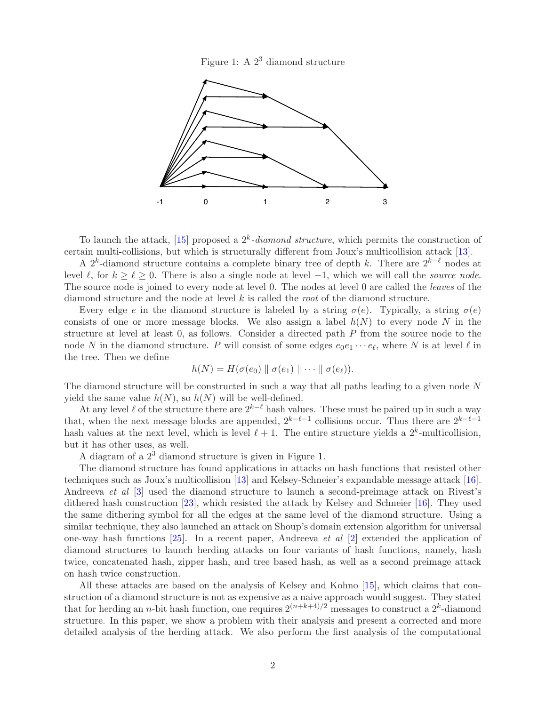<span id="page-1-0"></span>



To launch the attack, [\[15\]](#page-21-0) proposed a  $2^k$ -diamond structure, which permits the construction of certain multi-collisions, but which is structurally different from Joux's multicollision attack [\[13\]](#page-21-1).

A 2<sup>k</sup>-diamond structure contains a complete binary tree of depth k. There are  $2^{k-\ell}$  nodes at level  $\ell$ , for  $k \geq \ell \geq 0$ . There is also a single node at level −1, which we will call the *source node*. The source node is joined to every node at level 0. The nodes at level 0 are called the *leaves* of the diamond structure and the node at level k is called the root of the diamond structure.

Every edge e in the diamond structure is labeled by a string  $\sigma(e)$ . Typically, a string  $\sigma(e)$ consists of one or more message blocks. We also assign a label  $h(N)$  to every node N in the structure at level at least 0, as follows. Consider a directed path P from the source node to the node N in the diamond structure. P will consist of some edges  $e_0e_1 \cdots e_{\ell}$ , where N is at level  $\ell$  in the tree. Then we define

$$
h(N) = H(\sigma(e_0) \parallel \sigma(e_1) \parallel \cdots \parallel \sigma(e_{\ell})).
$$

The diamond structure will be constructed in such a way that all paths leading to a given node N yield the same value  $h(N)$ , so  $h(N)$  will be well-defined.

At any level  $\ell$  of the structure there are  $2^{k-\ell}$  hash values. These must be paired up in such a way that, when the next message blocks are appended,  $2^{k-\ell-1}$  collisions occur. Thus there are  $2^{k-\ell-1}$ hash values at the next level, which is level  $\ell + 1$ . The entire structure yields a  $2^k$ -multicollision, but it has other uses, as well.

A diagram of a  $2<sup>3</sup>$  diamond structure is given in Figure [1.](#page-1-0)

The diamond structure has found applications in attacks on hash functions that resisted other techniques such as Joux's multicollision [\[13\]](#page-21-1) and Kelsey-Schneier's expandable message attack [\[16\]](#page-21-2). Andreeva *et al* [\[3\]](#page-19-0) used the diamond structure to launch a second-preimage attack on Rivest's dithered hash construction [\[23\]](#page-21-3), which resisted the attack by Kelsey and Schneier [\[16\]](#page-21-2). They used the same dithering symbol for all the edges at the same level of the diamond structure. Using a similar technique, they also launched an attack on Shoup's domain extension algorithm for universal one-way hash functions  $[25]$ . In a recent paper, Andreeva *et al*  $[2]$  extended the application of diamond structures to launch herding attacks on four variants of hash functions, namely, hash twice, concatenated hash, zipper hash, and tree based hash, as well as a second preimage attack on hash twice construction.

All these attacks are based on the analysis of Kelsey and Kohno [\[15\]](#page-21-0), which claims that construction of a diamond structure is not as expensive as a naive approach would suggest. They stated that for herding an *n*-bit hash function, one requires  $2^{(n+k+4)/2}$  messages to construct a  $2^k$ -diamond structure. In this paper, we show a problem with their analysis and present a corrected and more detailed analysis of the herding attack. We also perform the first analysis of the computational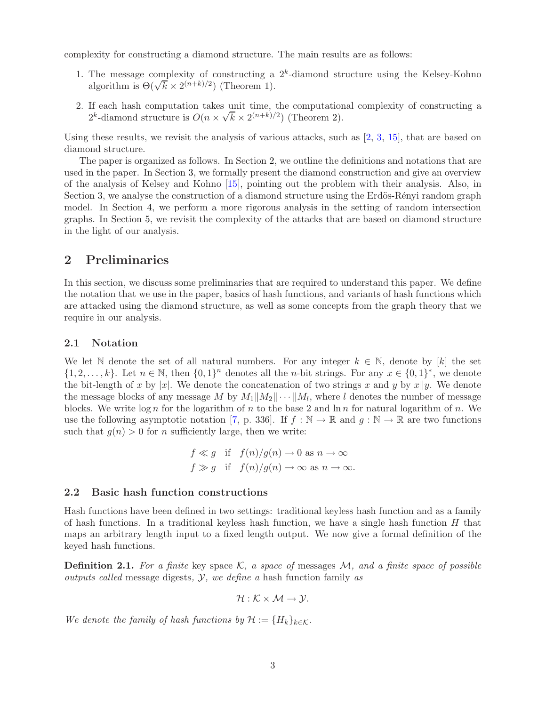complexity for constructing a diamond structure. The main results are as follows:

- 1. The message complexity of constructing a  $2<sup>k</sup>$ -diamond structure using the Kelsey-Kohno algorithm is  $\Theta(\sqrt{k} \times 2^{(n+k)/2})$  (Theorem [1\)](#page-6-0).
- 2. If each hash computation takes unit time, the computational complexity of constructing a  $2^k$ -diamond structure is  $O(n \times \sqrt{k} \times 2^{(n+k)/2})$  (Theorem [2\)](#page-9-0).

Using these results, we revisit the analysis of various attacks, such as [\[2,](#page-19-1) [3,](#page-19-0) [15\]](#page-21-0), that are based on diamond structure.

The paper is organized as follows. In Section [2,](#page-2-0) we outline the definitions and notations that are used in the paper. In Section [3,](#page-5-0) we formally present the diamond construction and give an overview of the analysis of Kelsey and Kohno [\[15\]](#page-21-0), pointing out the problem with their analysis. Also, in Section [3,](#page-5-0) we analyse the construction of a diamond structure using the Erdös-Rényi random graph model. In Section [4,](#page-9-1) we perform a more rigorous analysis in the setting of random intersection graphs. In Section [5,](#page-12-0) we revisit the complexity of the attacks that are based on diamond structure in the light of our analysis.

# <span id="page-2-0"></span>2 Preliminaries

In this section, we discuss some preliminaries that are required to understand this paper. We define the notation that we use in the paper, basics of hash functions, and variants of hash functions which are attacked using the diamond structure, as well as some concepts from the graph theory that we require in our analysis.

### 2.1 Notation

We let N denote the set of all natural numbers. For any integer  $k \in \mathbb{N}$ , denote by [k] the set  $\{1, 2, \ldots, k\}$ . Let  $n \in \mathbb{N}$ , then  $\{0, 1\}^n$  denotes all the *n*-bit strings. For any  $x \in \{0, 1\}^*$ , we denote the bit-length of x by |x|. We denote the concatenation of two strings x and y by  $x||y$ . We denote the message blocks of any message M by  $M_1||M_2|| \cdots ||M_l$ , where l denotes the number of message blocks. We write  $\log n$  for the logarithm of n to the base 2 and  $\ln n$  for natural logarithm of n. We use the following asymptotic notation [\[7,](#page-19-2) p. 336]. If  $f : \mathbb{N} \to \mathbb{R}$  and  $g : \mathbb{N} \to \mathbb{R}$  are two functions such that  $g(n) > 0$  for *n* sufficiently large, then we write:

$$
f \ll g
$$
 if  $f(n)/g(n) \to 0$  as  $n \to \infty$   
\n $f \gg g$  if  $f(n)/g(n) \to \infty$  as  $n \to \infty$ .

### <span id="page-2-1"></span>2.2 Basic hash function constructions

Hash functions have been defined in two settings: traditional keyless hash function and as a family of hash functions. In a traditional keyless hash function, we have a single hash function  $H$  that maps an arbitrary length input to a fixed length output. We now give a formal definition of the keyed hash functions.

**Definition 2.1.** For a finite key space  $\mathcal{K}$ , a space of messages  $\mathcal{M}$ , and a finite space of possible outputs called message digests,  $\mathcal{Y}$ , we define a hash function family as

$$
\mathcal{H}:\mathcal{K}\times\mathcal{M}\rightarrow\mathcal{Y}.
$$

We denote the family of hash functions by  $\mathcal{H} := \{H_k\}_{k \in \mathcal{K}}$ .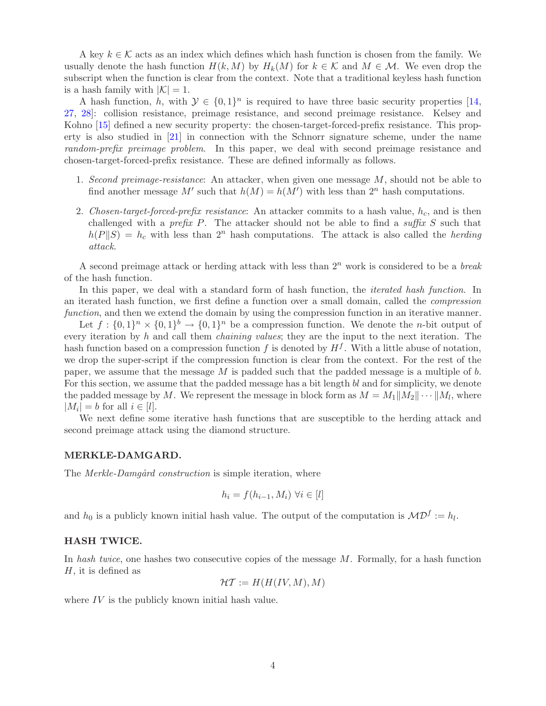A key  $k \in \mathcal{K}$  acts as an index which defines which hash function is chosen from the family. We usually denote the hash function  $H(k, M)$  by  $H_k(M)$  for  $k \in \mathcal{K}$  and  $M \in \mathcal{M}$ . We even drop the subscript when the function is clear from the context. Note that a traditional keyless hash function is a hash family with  $|\mathcal{K}| = 1$ .

A hash function, h, with  $\mathcal{Y} \in \{0,1\}^n$  is required to have three basic security properties [\[14,](#page-21-5) [27,](#page-21-6) [28\]](#page-21-7): collision resistance, preimage resistance, and second preimage resistance. Kelsey and Kohno [\[15\]](#page-21-0) defined a new security property: the chosen-target-forced-prefix resistance. This property is also studied in [\[21\]](#page-21-8) in connection with the Schnorr signature scheme, under the name random-prefix preimage problem. In this paper, we deal with second preimage resistance and chosen-target-forced-prefix resistance. These are defined informally as follows.

- 1. Second preimage-resistance: An attacker, when given one message M, should not be able to find another message M' such that  $h(M) = h(M')$  with less than  $2^n$  hash computations.
- 2. Chosen-target-forced-prefix resistance: An attacker commits to a hash value,  $h_c$ , and is then challenged with a prefix P. The attacker should not be able to find a suffix S such that  $h(P||S) = h_c$  with less than  $2^n$  hash computations. The attack is also called the *herding* attack.

A second preimage attack or herding attack with less than  $2^n$  work is considered to be a *break* of the hash function.

In this paper, we deal with a standard form of hash function, the *iterated hash function*. In an iterated hash function, we first define a function over a small domain, called the compression function, and then we extend the domain by using the compression function in an iterative manner.

Let  $f: \{0,1\}^n \times \{0,1\}^b \to \{0,1\}^n$  be a compression function. We denote the *n*-bit output of every iteration by h and call them *chaining values*; they are the input to the next iteration. The hash function based on a compression function f is denoted by  $H<sup>f</sup>$ . With a little abuse of notation, we drop the super-script if the compression function is clear from the context. For the rest of the paper, we assume that the message  $M$  is padded such that the padded message is a multiple of  $b$ . For this section, we assume that the padded message has a bit length bl and for simplicity, we denote the padded message by M. We represent the message in block form as  $M = M_1 ||M_2|| \cdots ||M_l$ , where  $|M_i|=b$  for all  $i \in [l].$ 

We next define some iterative hash functions that are susceptible to the herding attack and second preimage attack using the diamond structure.

#### MERKLE-DAMGARD.

The *Merkle-Damgård construction* is simple iteration, where

$$
h_i = f(h_{i-1}, M_i) \,\,\forall i \in [l]
$$

and  $h_0$  is a publicly known initial hash value. The output of the computation is  $\mathcal{MD}^f := h_l$ .

#### HASH TWICE.

In hash twice, one hashes two consecutive copies of the message  $M$ . Formally, for a hash function H, it is defined as

$$
\mathcal{HT} := H(H(IV, M), M)
$$

where IV is the publicly known initial hash value.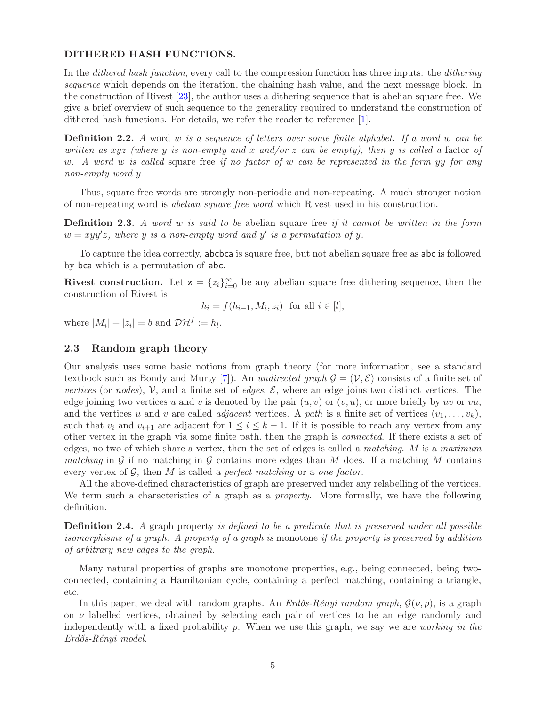### DITHERED HASH FUNCTIONS.

In the *dithered hash function*, every call to the compression function has three inputs: the *dithering* sequence which depends on the iteration, the chaining hash value, and the next message block. In the construction of Rivest [\[23\]](#page-21-3), the author uses a dithering sequence that is abelian square free. We give a brief overview of such sequence to the generality required to understand the construction of dithered hash functions. For details, we refer the reader to reference [\[1\]](#page-19-3).

**Definition 2.2.** A word w is a sequence of letters over some finite alphabet. If a word w can be written as xyz (where y is non-empty and x and/or z can be empty), then y is called a factor of w. A word w is called square free if no factor of w can be represented in the form yy for any non-empty word y.

Thus, square free words are strongly non-periodic and non-repeating. A much stronger notion of non-repeating word is abelian square free word which Rivest used in his construction.

**Definition 2.3.** A word w is said to be abelian square free if it cannot be written in the form  $w = xyy'z$ , where y is a non-empty word and y' is a permutation of y.

To capture the idea correctly, abcbca is square free, but not abelian square free as abc is followed by bca which is a permutation of abc.

**Rivest construction.** Let  $\mathbf{z} = \{z_i\}_{i=0}^{\infty}$  be any abelian square free dithering sequence, then the construction of Rivest is

 $h_i = f(h_{i-1}, M_i, z_i)$  for all  $i \in [l],$ 

where  $|M_i| + |z_i| = b$  and  $\mathcal{DH}^f := h_l$ .

### 2.3 Random graph theory

Our analysis uses some basic notions from graph theory (for more information, see a standard textbook such as Bondy and Murty [\[7\]](#page-19-2)). An undirected graph  $\mathcal{G} = (\mathcal{V}, \mathcal{E})$  consists of a finite set of vertices (or nodes),  $V$ , and a finite set of edges,  $\mathcal{E}$ , where an edge joins two distinct vertices. The edge joining two vertices u and v is denoted by the pair  $(u, v)$  or  $(v, u)$ , or more briefly by uv or vu, and the vertices u and v are called *adjacent* vertices. A path is a finite set of vertices  $(v_1, \ldots, v_k)$ , such that  $v_i$  and  $v_{i+1}$  are adjacent for  $1 \leq i \leq k-1$ . If it is possible to reach any vertex from any other vertex in the graph via some finite path, then the graph is connected. If there exists a set of edges, no two of which share a vertex, then the set of edges is called a matching. M is a maximum matching in G if no matching in G contains more edges than M does. If a matching M contains every vertex of  $\mathcal{G}$ , then M is called a *perfect matching* or a *one-factor*.

All the above-defined characteristics of graph are preserved under any relabelling of the vertices. We term such a characteristics of a graph as a *property*. More formally, we have the following definition.

**Definition 2.4.** A graph property is defined to be a predicate that is preserved under all possible isomorphisms of a graph. A property of a graph is monotone if the property is preserved by addition of arbitrary new edges to the graph.

Many natural properties of graphs are monotone properties, e.g., being connected, being twoconnected, containing a Hamiltonian cycle, containing a perfect matching, containing a triangle, etc.

In this paper, we deal with random graphs. An *Erdős-Rényi random graph*,  $\mathcal{G}(\nu, p)$ , is a graph on  $\nu$  labelled vertices, obtained by selecting each pair of vertices to be an edge randomly and independently with a fixed probability  $p$ . When we use this graph, we say we are *working in the* Erdős-Rényi model.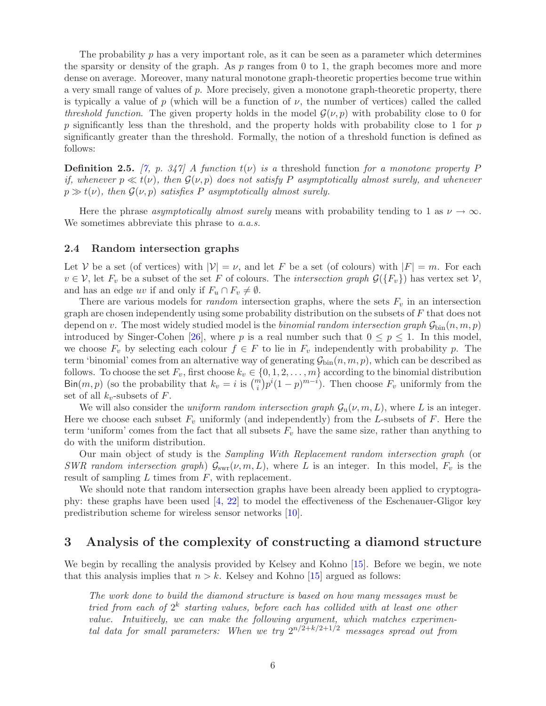The probability p has a very important role, as it can be seen as a parameter which determines the sparsity or density of the graph. As  $p$  ranges from 0 to 1, the graph becomes more and more dense on average. Moreover, many natural monotone graph-theoretic properties become true within a very small range of values of  $p$ . More precisely, given a monotone graph-theoretic property, there is typically a value of p (which will be a function of  $\nu$ , the number of vertices) called the called threshold function. The given property holds in the model  $\mathcal{G}(\nu, p)$  with probability close to 0 for p significantly less than the threshold, and the property holds with probability close to 1 for p significantly greater than the threshold. Formally, the notion of a threshold function is defined as follows:

**Definition 2.5.** [\[7,](#page-19-2) p. 347] A function  $t(\nu)$  is a threshold function for a monotone property P if, whenever  $p \ll t(\nu)$ , then  $\mathcal{G}(\nu, p)$  does not satisfy P asymptotically almost surely, and whenever  $p \gg t(\nu)$ , then  $\mathcal{G}(\nu, p)$  satisfies P asymptotically almost surely.

Here the phrase asymptotically almost surely means with probability tending to 1 as  $\nu \to \infty$ . We sometimes abbreviate this phrase to a.a.s.

### 2.4 Random intersection graphs

Let V be a set (of vertices) with  $|\mathcal{V}| = \nu$ , and let F be a set (of colours) with  $|F| = m$ . For each  $v \in V$ , let  $F_v$  be a subset of the set F of colours. The *intersection graph*  $\mathcal{G}(\{F_v\})$  has vertex set V, and has an edge uv if and only if  $F_u \cap F_v \neq \emptyset$ .

There are various models for *random* intersection graphs, where the sets  $F_v$  in an intersection graph are chosen independently using some probability distribution on the subsets of  $F$  that does not depend on v. The most widely studied model is the binomial random intersection graph  $\mathcal{G}_{\text{bin}}(n, m, p)$ introduced by Singer-Cohen [\[26\]](#page-21-9), where p is a real number such that  $0 \le p \le 1$ . In this model, we choose  $F_v$  by selecting each colour  $f \in F$  to lie in  $F_v$  independently with probability p. The term 'binomial' comes from an alternative way of generating  $\mathcal{G}_{\text{bin}}(n, m, p)$ , which can be described as follows. To choose the set  $F_v$ , first choose  $k_v \in \{0, 1, 2, \ldots, m\}$  according to the binomial distribution Bin $(m, p)$  (so the probability that  $k_v = i$  is  $\binom{m}{i} p^i (1-p)^{m-i}$ ). Then choose  $F_v$  uniformly from the set of all  $k_v$ -subsets of F.

We will also consider the *uniform random intersection graph*  $\mathcal{G}_u(\nu, m, L)$ , where L is an integer. Here we choose each subset  $F_v$  uniformly (and independently) from the L-subsets of F. Here the term 'uniform' comes from the fact that all subsets  $F_v$  have the same size, rather than anything to do with the uniform distribution.

Our main object of study is the Sampling With Replacement random intersection graph (or SWR random intersection graph)  $\mathcal{G}_{\text{swr}}(\nu,m,L)$ , where L is an integer. In this model,  $F_v$  is the result of sampling  $L$  times from  $F$ , with replacement.

We should note that random intersection graphs have been already been applied to cryptography: these graphs have been used [\[4,](#page-19-4) [22\]](#page-21-10) to model the effectiveness of the Eschenauer-Gligor key predistribution scheme for wireless sensor networks [\[10\]](#page-19-5).

# <span id="page-5-0"></span>3 Analysis of the complexity of constructing a diamond structure

We begin by recalling the analysis provided by Kelsey and Kohno [\[15\]](#page-21-0). Before we begin, we note that this analysis implies that  $n > k$ . Kelsey and Kohno [\[15\]](#page-21-0) argued as follows:

The work done to build the diamond structure is based on how many messages must be tried from each of  $2^k$  starting values, before each has collided with at least one other value. Intuitively, we can make the following argument, which matches experimental data for small parameters: When we try  $2^{n/2+k/2+1/2}$  messages spread out from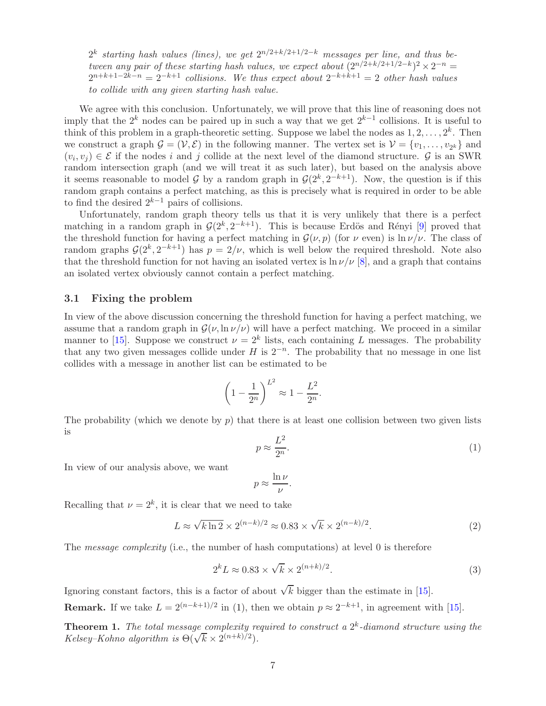$2^k$  starting hash values (lines), we get  $2^{n/2+k/2+1/2-k}$  messages per line, and thus between any pair of these starting hash values, we expect about  $(2^{n/2+k/2+1/2-k})^2 \times 2^{-n} =$  $2^{n+k+1-2k-n} = 2^{-k+1}$  collisions. We thus expect about  $2^{-k+k+1} = 2$  other hash values to collide with any given starting hash value.

We agree with this conclusion. Unfortunately, we will prove that this line of reasoning does not imply that the  $2^k$  nodes can be paired up in such a way that we get  $2^{k-1}$  collisions. It is useful to think of this problem in a graph-theoretic setting. Suppose we label the nodes as  $1, 2, \ldots, 2^k$ . Then we construct a graph  $\mathcal{G} = (\mathcal{V}, \mathcal{E})$  in the following manner. The vertex set is  $\mathcal{V} = \{v_1, \ldots, v_{2^k}\}\$  and  $(v_i, v_j) \in \mathcal{E}$  if the nodes i and j collide at the next level of the diamond structure.  $\mathcal{G}$  is an SWR random intersection graph (and we will treat it as such later), but based on the analysis above it seems reasonable to model G by a random graph in  $\mathcal{G}(2^k, 2^{-k+1})$ . Now, the question is if this random graph contains a perfect matching, as this is precisely what is required in order to be able to find the desired  $2^{k-1}$  pairs of collisions.

Unfortunately, random graph theory tells us that it is very unlikely that there is a perfect matching in a random graph in  $\mathcal{G}(2^k, 2^{-k+1})$ . This is because Erdös and Rényi [\[9\]](#page-19-6) proved that the threshold function for having a perfect matching in  $\mathcal{G}(\nu, p)$  (for  $\nu$  even) is  $\ln \nu / \nu$ . The class of random graphs  $\mathcal{G}(2^k, 2^{-k+1})$  has  $p = 2/\nu$ , which is well below the required threshold. Note also that the threshold function for not having an isolated vertex is  $\ln \nu / \nu$  [\[8\]](#page-19-7), and a graph that contains an isolated vertex obviously cannot contain a perfect matching.

### <span id="page-6-4"></span>3.1 Fixing the problem

In view of the above discussion concerning the threshold function for having a perfect matching, we assume that a random graph in  $\mathcal{G}(\nu, \ln \nu/\nu)$  will have a perfect matching. We proceed in a similar manner to [\[15\]](#page-21-0). Suppose we construct  $\nu = 2^k$  lists, each containing L messages. The probability that any two given messages collide under H is  $2^{-n}$ . The probability that no message in one list collides with a message in another list can be estimated to be

$$
\left(1 - \frac{1}{2^n}\right)^{L^2} \approx 1 - \frac{L^2}{2^n}.
$$

The probability (which we denote by  $p$ ) that there is at least one collision between two given lists is

<span id="page-6-1"></span>
$$
p \approx \frac{L^2}{2^n}.\tag{1}
$$

In view of our analysis above, we want

$$
p \approx \frac{\ln \nu}{\nu}.
$$

<span id="page-6-3"></span>Recalling that  $\nu = 2^k$ , it is clear that we need to take

<span id="page-6-2"></span>
$$
L \approx \sqrt{k \ln 2} \times 2^{(n-k)/2} \approx 0.83 \times \sqrt{k} \times 2^{(n-k)/2}.
$$
 (2)

The *message complexity* (i.e., the number of hash computations) at level 0 is therefore

$$
2^k L \approx 0.83 \times \sqrt{k} \times 2^{(n+k)/2}.
$$
 (3)

Ignoring constant factors, this is a factor of about  $\sqrt{k}$  bigger than the estimate in [\[15\]](#page-21-0).

<span id="page-6-0"></span>**Remark.** If we take  $L = 2^{(n-k+1)/2}$  in [\(1\)](#page-6-1), then we obtain  $p \approx 2^{-k+1}$ , in agreement with [\[15\]](#page-21-0).

**Theorem 1.** The total message complexity required to construct a  $2<sup>k</sup>$ -diamond structure using the  $Kelsey-Kohno algorithm is \Theta(\sqrt{k} \times 2^{(n+k)/2}).$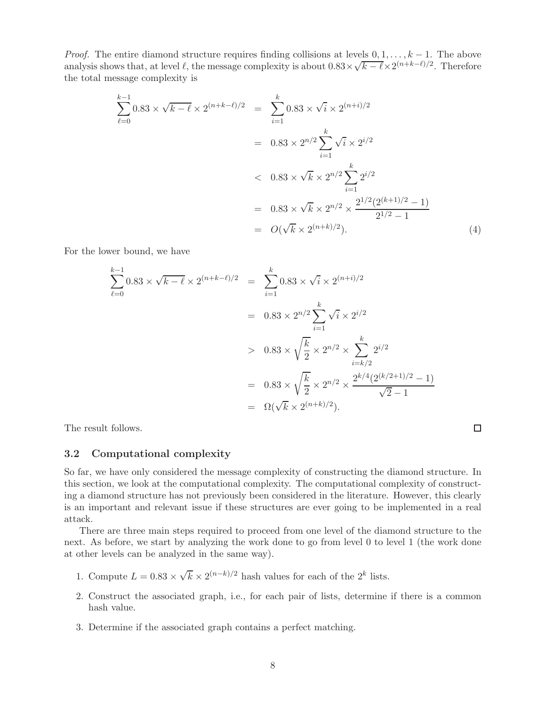<span id="page-7-0"></span>*Proof.* The entire diamond structure requires finding collisions at levels  $0, 1, \ldots, k - 1$ . The above analysis shows that, at level  $\ell$ , the message complexity is about  $0.83 \times \sqrt{k} - \ell \times 2^{(n+k-\ell)/2}$ . Therefore the total message complexity is

$$
\sum_{\ell=0}^{k-1} 0.83 \times \sqrt{k-\ell} \times 2^{(n+k-\ell)/2} = \sum_{i=1}^{k} 0.83 \times \sqrt{i} \times 2^{(n+i)/2}
$$
  
=  $0.83 \times 2^{n/2} \sum_{i=1}^{k} \sqrt{i} \times 2^{i/2}$   
<  $0.83 \times \sqrt{k} \times 2^{n/2} \sum_{i=1}^{k} 2^{i/2}$   
=  $0.83 \times \sqrt{k} \times 2^{n/2} \times \frac{2^{1/2} (2^{(k+1)/2} - 1)}{2^{1/2} - 1}$   
=  $O(\sqrt{k} \times 2^{(n+k)/2}).$  (4)

For the lower bound, we have

$$
\sum_{\ell=0}^{k-1} 0.83 \times \sqrt{k-\ell} \times 2^{(n+k-\ell)/2} = \sum_{i=1}^{k} 0.83 \times \sqrt{i} \times 2^{(n+i)/2}
$$
  
=  $0.83 \times 2^{n/2} \sum_{i=1}^{k} \sqrt{i} \times 2^{i/2}$   
>  $0.83 \times \sqrt{\frac{k}{2}} \times 2^{n/2} \times \sum_{i=k/2}^{k} 2^{i/2}$   
=  $0.83 \times \sqrt{\frac{k}{2}} \times 2^{n/2} \times \frac{2^{k/4} (2^{(k/2+1)/2} - 1)}{\sqrt{2} - 1}$   
=  $\Omega(\sqrt{k} \times 2^{(n+k)/2}).$ 

 $\Box$ 

<span id="page-7-1"></span>The result follows.

### 3.2 Computational complexity

So far, we have only considered the message complexity of constructing the diamond structure. In this section, we look at the computational complexity. The computational complexity of constructing a diamond structure has not previously been considered in the literature. However, this clearly is an important and relevant issue if these structures are ever going to be implemented in a real attack.

There are three main steps required to proceed from one level of the diamond structure to the next. As before, we start by analyzing the work done to go from level 0 to level 1 (the work done at other levels can be analyzed in the same way).

- 1. Compute  $L = 0.83 \times \sqrt{k} \times 2^{(n-k)/2}$  hash values for each of the  $2^k$  lists.
- 2. Construct the associated graph, i.e., for each pair of lists, determine if there is a common hash value.
- 3. Determine if the associated graph contains a perfect matching.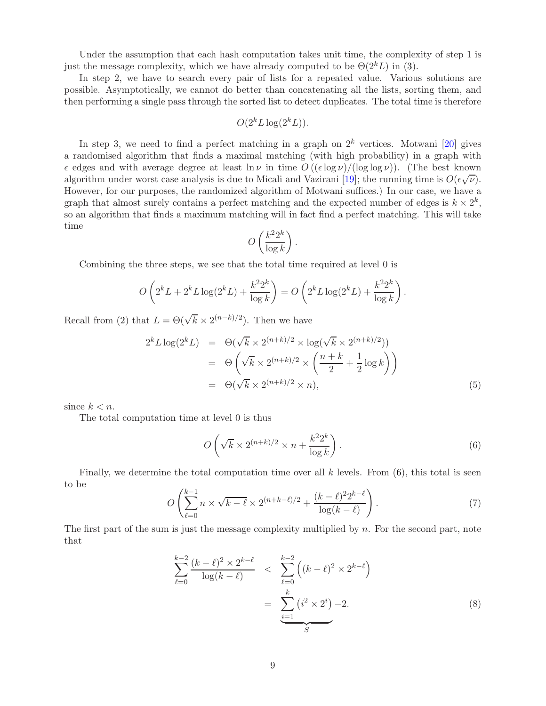Under the assumption that each hash computation takes unit time, the complexity of step 1 is just the message complexity, which we have already computed to be  $\Theta(2^kL)$  in [\(3\)](#page-6-2).

In step 2, we have to search every pair of lists for a repeated value. Various solutions are possible. Asymptotically, we cannot do better than concatenating all the lists, sorting them, and then performing a single pass through the sorted list to detect duplicates. The total time is therefore

$$
O(2^k L \log(2^k L)).
$$

In step 3, we need to find a perfect matching in a graph on  $2^k$  vertices. Motwani [\[20\]](#page-21-11) gives a randomised algorithm that finds a maximal matching (with high probability) in a graph with  $\epsilon$  edges and with average degree at least  $\ln \nu$  in time  $O((\epsilon \log \nu)/(\log \log \nu))$ . (The best known algorithm under worst case analysis is due to Micali and Vazirani [\[19\]](#page-21-12); the running time is  $O(\epsilon \sqrt{\nu})$ . However, for our purposes, the randomized algorithm of Motwani suffices.) In our case, we have a graph that almost surely contains a perfect matching and the expected number of edges is  $k \times 2^k$ , so an algorithm that finds a maximum matching will in fact find a perfect matching. This will take time

$$
O\left(\frac{k^2 2^k}{\log k}\right).
$$

Combining the three steps, we see that the total time required at level 0 is

$$
O\left(2^k L + 2^k L \log(2^k L) + \frac{k^2 2^k}{\log k}\right) = O\left(2^k L \log(2^k L) + \frac{k^2 2^k}{\log k}\right).
$$

<span id="page-8-2"></span>Recall from [\(2\)](#page-6-3) that  $L = \Theta(\sqrt{k} \times 2^{(n-k)/2})$ . Then we have

$$
2^{k}L\log(2^{k}L) = \Theta(\sqrt{k} \times 2^{(n+k)/2} \times \log(\sqrt{k} \times 2^{(n+k)/2}))
$$
  
= 
$$
\Theta\left(\sqrt{k} \times 2^{(n+k)/2} \times \left(\frac{n+k}{2} + \frac{1}{2}\log k\right)\right)
$$
  
= 
$$
\Theta(\sqrt{k} \times 2^{(n+k)/2} \times n),
$$
 (5)

since  $k < n$ .

The total computation time at level 0 is thus

$$
O\left(\sqrt{k} \times 2^{(n+k)/2} \times n + \frac{k^2 2^k}{\log k}\right).
$$
 (6)

Finally, we determine the total computation time over all k levels. From  $(6)$ , this total is seen to be

<span id="page-8-0"></span>
$$
O\left(\sum_{\ell=0}^{k-1} n \times \sqrt{k-\ell} \times 2^{(n+k-\ell)/2} + \frac{(k-\ell)^2 2^{k-\ell}}{\log(k-\ell)}\right).
$$
 (7)

<span id="page-8-1"></span>The first part of the sum is just the message complexity multiplied by  $n$ . For the second part, note that

$$
\sum_{\ell=0}^{k-2} \frac{(k-\ell)^2 \times 2^{k-\ell}}{\log(k-\ell)} < \sum_{\ell=0}^{k-2} \left( (k-\ell)^2 \times 2^{k-\ell} \right) \\
= \sum_{\substack{i=1 \ i \neq j}}^k (i^2 \times 2^i) - 2.\n\tag{8}
$$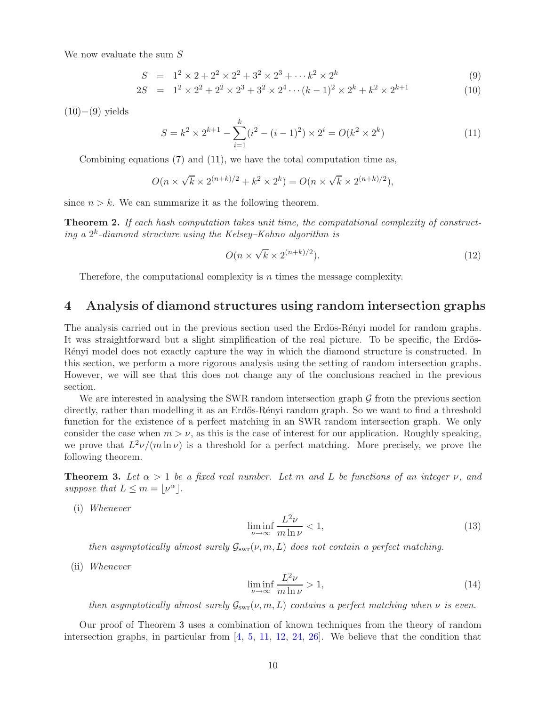<span id="page-9-2"></span>We now evaluate the sum  $S$ 

$$
S = 12 \times 2 + 22 \times 22 + 32 \times 23 + \dots k2 \times 2k
$$
 (9)

$$
2S = 12 \times 22 + 22 \times 23 + 32 \times 24 \cdots (k-1)2 \times 2k + k2 \times 2k+1
$$
 (10)

 $(10)–(9)$  $(10)–(9)$  $(10)–(9)$  yields

$$
S = k^2 \times 2^{k+1} - \sum_{i=1}^{k} (i^2 - (i-1)^2) \times 2^i = O(k^2 \times 2^k)
$$
 (11)

<span id="page-9-3"></span>Combining equations  $(7)$  and  $(11)$ , we have the total computation time as,

$$
O(n \times \sqrt{k} \times 2^{(n+k)/2} + k^2 \times 2^k) = O(n \times \sqrt{k} \times 2^{(n+k)/2}),
$$

<span id="page-9-0"></span>since  $n > k$ . We can summarize it as the following theorem.

Theorem 2. If each hash computation takes unit time, the computational complexity of constructing a  $2^k$ -diamond structure using the Kelsey-Kohno algorithm is

<span id="page-9-7"></span>
$$
O(n \times \sqrt{k} \times 2^{(n+k)/2}).
$$
\n(12)

Therefore, the computational complexity is n times the message complexity.

## <span id="page-9-1"></span>4 Analysis of diamond structures using random intersection graphs

The analysis carried out in the previous section used the Erdös-Rényi model for random graphs. It was straightforward but a slight simplification of the real picture. To be specific, the Erdös-Rényi model does not exactly capture the way in which the diamond structure is constructed. In this section, we perform a more rigorous analysis using the setting of random intersection graphs. However, we will see that this does not change any of the conclusions reached in the previous section.

We are interested in analysing the SWR random intersection graph  $\mathcal G$  from the previous section directly, rather than modelling it as an Erdős-Rényi random graph. So we want to find a threshold function for the existence of a perfect matching in an SWR random intersection graph. We only consider the case when  $m > \nu$ , as this is the case of interest for our application. Roughly speaking, we prove that  $L^2 \nu/(m \ln \nu)$  is a threshold for a perfect matching. More precisely, we prove the following theorem.

<span id="page-9-4"></span>**Theorem 3.** Let  $\alpha > 1$  be a fixed real number. Let m and L be functions of an integer  $\nu$ , and suppose that  $L \leq m = \lfloor \nu^{\alpha} \rfloor$ .

(i) Whenever

<span id="page-9-5"></span>
$$
\liminf_{\nu \to \infty} \frac{L^2 \nu}{m \ln \nu} < 1,\tag{13}
$$

then asymptotically almost surely  $\mathcal{G}_{\text{swr}}(\nu, m, L)$  does not contain a perfect matching.

(ii) Whenever

<span id="page-9-6"></span>
$$
\liminf_{\nu \to \infty} \frac{L^2 \nu}{m \ln \nu} > 1,\tag{14}
$$

then asymptotically almost surely  $\mathcal{G}_{\text{swr}}(\nu, m, L)$  contains a perfect matching when  $\nu$  is even.

Our proof of Theorem [3](#page-9-4) uses a combination of known techniques from the theory of random intersection graphs, in particular from  $[4, 5, 11, 12, 24, 26]$  $[4, 5, 11, 12, 24, 26]$  $[4, 5, 11, 12, 24, 26]$  $[4, 5, 11, 12, 24, 26]$  $[4, 5, 11, 12, 24, 26]$  $[4, 5, 11, 12, 24, 26]$  $[4, 5, 11, 12, 24, 26]$  $[4, 5, 11, 12, 24, 26]$  $[4, 5, 11, 12, 24, 26]$  $[4, 5, 11, 12, 24, 26]$ . We believe that the condition that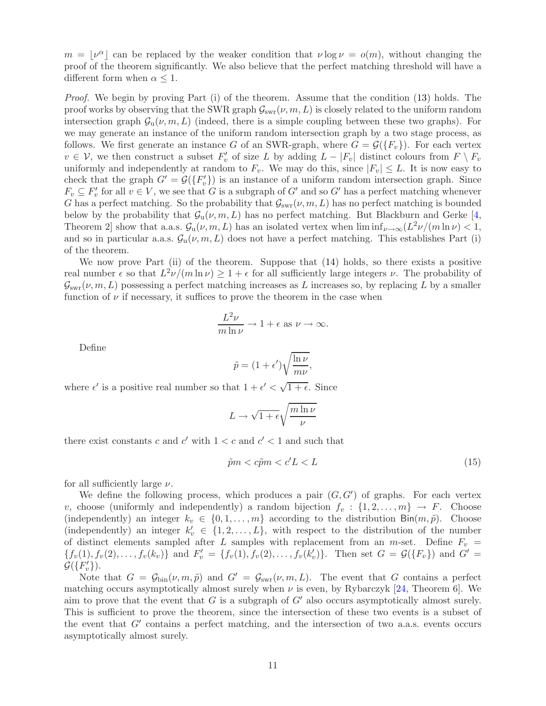$m = \lfloor \nu^{\alpha} \rfloor$  can be replaced by the weaker condition that  $\nu \log \nu = o(m)$ , without changing the proof of the theorem significantly. We also believe that the perfect matching threshold will have a different form when  $\alpha \leq 1$ .

Proof. We begin by proving Part (i) of the theorem. Assume that the condition [\(13\)](#page-9-5) holds. The proof works by observing that the SWR graph  $\mathcal{G}_{\text{swr}}(\nu, m, L)$  is closely related to the uniform random intersection graph  $\mathcal{G}_{\rm u}(\nu, m, L)$  (indeed, there is a simple coupling between these two graphs). For we may generate an instance of the uniform random intersection graph by a two stage process, as follows. We first generate an instance G of an SWR-graph, where  $G = \mathcal{G}(\{F_v\})$ . For each vertex  $v \in \mathcal{V}$ , we then construct a subset  $F'_v$  $\mathcal{V}_v$  of size L by adding  $L - |F_v|$  distinct colours from  $F \setminus F_v$ uniformly and independently at random to  $F_v$ . We may do this, since  $|F_v| \leq L$ . It is now easy to check that the graph  $G' = \mathcal{G}(\lbrace F'_v \rbrace)$  $(v<sub>v</sub>)$  is an instance of a uniform random intersection graph. Since  $F_v \subseteq F'_v$  for all  $v \in V$ , we see that G is a subgraph of G' and so G' has a perfect matching whenever G has a perfect matching. So the probability that  $\mathcal{G}_{\text{swr}}(\nu, m, L)$  has no perfect matching is bounded below by the probability that  $\mathcal{G}_u(\nu, m, L)$  has no perfect matching. But Blackburn and Gerke [\[4,](#page-19-4) Theorem 2] show that a.a.s.  $\mathcal{G}_u(\nu,m,L)$  has an isolated vertex when  $\liminf_{\nu\to\infty}(L^2\nu/(m\ln\nu) < 1$ , and so in particular a.a.s.  $\mathcal{G}_u(\nu, m, L)$  does not have a perfect matching. This establishes Part (i) of the theorem.

We now prove Part (ii) of the theorem. Suppose that [\(14\)](#page-9-6) holds, so there exists a positive real number  $\epsilon$  so that  $L^2 \nu/(m \ln \nu) \geq 1 + \epsilon$  for all sufficiently large integers  $\nu$ . The probability of  $\mathcal{G}_{\text{swr}}(\nu, m, L)$  possessing a perfect matching increases as L increases so, by replacing L by a smaller function of  $\nu$  if necessary, it suffices to prove the theorem in the case when

$$
\frac{L^2\nu}{m\ln\nu} \to 1 + \epsilon \text{ as } \nu \to \infty.
$$

Define

$$
\tilde{p} = (1 + \epsilon') \sqrt{\frac{\ln \nu}{m\nu}},
$$

where  $\epsilon'$  is a positive real number so that  $1 + \epsilon' < \sqrt{1 + \epsilon}$ . Since

$$
L\to \sqrt{1+\epsilon}\sqrt{\frac{m\ln \nu}{\nu}}
$$

there exist constants c and  $c'$  with  $1 < c$  and  $c' < 1$  and such that

<span id="page-10-0"></span>
$$
\tilde{p}m < c\tilde{p}m < c'L < L\tag{15}
$$

for all sufficiently large  $\nu$ .

We define the following process, which produces a pair  $(G, G')$  of graphs. For each vertex v, choose (uniformly and independently) a random bijection  $f_v: \{1, 2, \ldots, m\} \rightarrow F$ . Choose (independently) an integer  $k_v \in \{0, 1, \ldots, m\}$  according to the distribution  $\text{Bin}(m, \tilde{p})$ . Choose (independently) an integer  $k'_v \in \{1, 2, ..., L\}$ , with respect to the distribution of the number of distinct elements sampled after L samples with replacement from an  $m$ -set. Define  $F_v$  =  $\{f_v(1), f_v(2), \ldots, f_v(k_v)\}\$ and  $F'_v = \{f_v(1), f_v(2), \ldots, f_v(k'_v)\}\$ . Then set  $G = \mathcal{G}(\{F_v\})$  and  $G' =$  $\mathcal{G}(\overline{\{F'_v\}})$  $v'_{v}\}$ ).

Note that  $G = \mathcal{G}_{\text{bin}}(\nu, m, \tilde{\nu})$  and  $G' = \mathcal{G}_{\text{swr}}(\nu, m, L)$ . The event that G contains a perfect matching occurs asymptotically almost surely when  $\nu$  is even, by Rybarczyk [\[24,](#page-21-13) Theorem 6]. We aim to prove that the event that  $G$  is a subgraph of  $G'$  also occurs asymptotically almost surely. This is sufficient to prove the theorem, since the intersection of these two events is a subset of the event that  $G'$  contains a perfect matching, and the intersection of two a.a.s. events occurs asymptotically almost surely.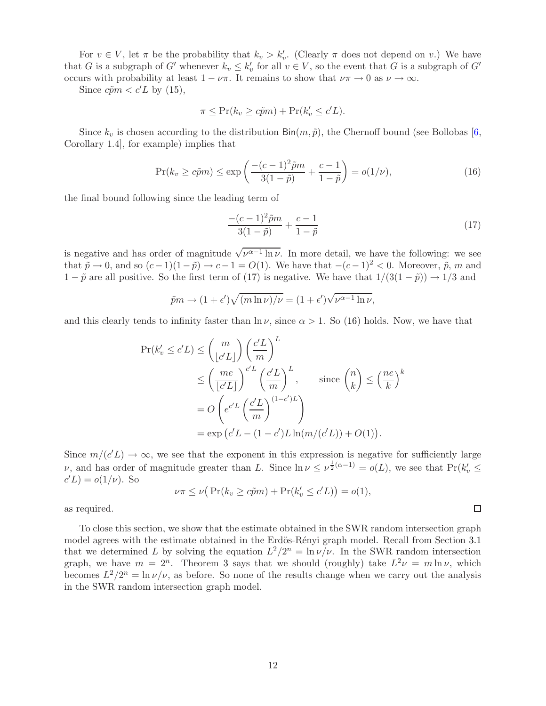For  $v \in V$ , let  $\pi$  be the probability that  $k_v > k'_v$ . (Clearly  $\pi$  does not depend on v.) We have that G is a subgraph of G' whenever  $k_v \leq k'_v$  for all  $v \in V$ , so the event that G is a subgraph of G' occurs with probability at least  $1 - \nu \pi$ . It remains to show that  $\nu \pi \to 0$  as  $\nu \to \infty$ .

Since  $c\tilde{p}m < c'L$  by [\(15\)](#page-10-0),

$$
\pi \le \Pr(k_v \ge c\tilde{p}m) + \Pr(k'_v \le c'L).
$$

Since  $k_v$  is chosen according to the distribution  $\text{Bin}(m, \tilde{p})$ , the Chernoff bound (see Bollobas [\[6,](#page-19-11) Corollary 1.4], for example) implies that

<span id="page-11-0"></span>
$$
\Pr(k_v \ge c\tilde{p}m) \le \exp\left(\frac{-(c-1)^2\tilde{p}m}{3(1-\tilde{p})} + \frac{c-1}{1-\tilde{p}}\right) = o(1/\nu),\tag{16}
$$

<span id="page-11-1"></span>the final bound following since the leading term of

$$
\frac{-(c-1)^2\tilde{p}m}{3(1-\tilde{p})} + \frac{c-1}{1-\tilde{p}}
$$
\n(17)

is negative and has order of magnitude  $\sqrt{\nu^{\alpha-1} \ln \nu}$ . In more detail, we have the following: we see that  $\tilde{p} \to 0$ , and so  $(c-1)(1-\tilde{p}) \to c-1 = O(1)$ . We have that  $-(c-1)^2 < 0$ . Moreover,  $\tilde{p}$ , m and  $1 - \tilde{p}$  are all positive. So the first term of [\(17\)](#page-11-0) is negative. We have that  $1/(3(1 - \tilde{p})) \rightarrow 1/3$  and

$$
\tilde{p}m \to (1+\epsilon')\sqrt{(m\ln\nu)/\nu} = (1+\epsilon')\sqrt{\nu^{\alpha-1}\ln\nu},
$$

and this clearly tends to infinity faster than  $\ln \nu$ , since  $\alpha > 1$ . So [\(16\)](#page-11-1) holds. Now, we have that

$$
\begin{split} \Pr(k'_{v} \le c'L) &\le \binom{m}{\lfloor c'L \rfloor} \left(\frac{c'L}{m}\right)^{L} \\ &\le \left(\frac{me}{\lfloor c'L \rfloor}\right)^{c'L} \left(\frac{c'L}{m}\right)^{L}, \qquad \text{since } \binom{n}{k} \le \left(\frac{ne}{k}\right)^{k} \\ &= O\left(e^{c'L} \left(\frac{c'L}{m}\right)^{(1-c')L}\right) \\ &= \exp\left(c'L - (1-c')L\ln(m/(c'L)) + O(1)\right). \end{split}
$$

Since  $m/(c'L) \rightarrow \infty$ , we see that the exponent in this expression is negative for sufficiently large  $\nu$ , and has order of magnitude greater than L. Since  $\ln \nu \leq \nu^{\frac{1}{2}(\alpha-1)} = o(L)$ , we see that  $Pr(k'_v \leq$  $c'L$ ) =  $o(1/\nu)$ . So

$$
\nu \pi \le \nu \big(\Pr(k_v \ge c\tilde{p}m) + \Pr(k'_v \le c'L)\big) = o(1),
$$

as required.

To close this section, we show that the estimate obtained in the SWR random intersection graph model agrees with the estimate obtained in the Erdös-Rényi graph model. Recall from Section [3.1](#page-6-4) that we determined L by solving the equation  $L^2/2^n = \ln \nu/\nu$ . In the SWR random intersection graph, we have  $m = 2^n$ . Theorem [3](#page-9-4) says that we should (roughly) take  $L^2 \nu = m \ln \nu$ , which becomes  $L^2/2^n = \ln \nu/\nu$ , as before. So none of the results change when we carry out the analysis in the SWR random intersection graph model.

 $\Box$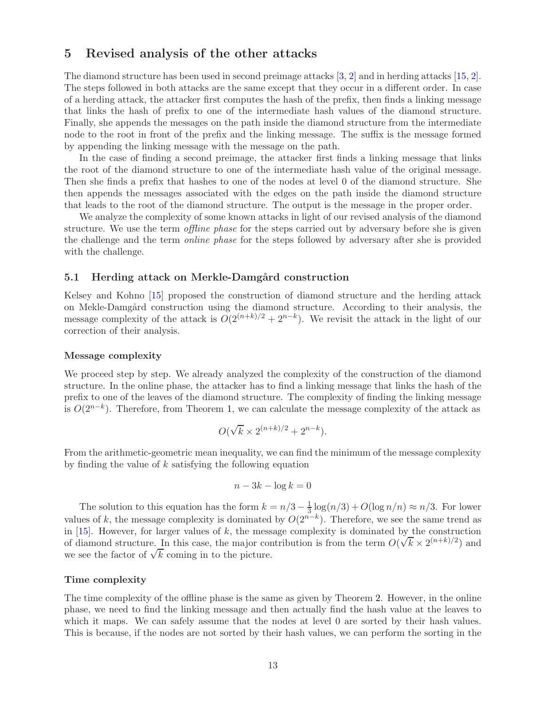# <span id="page-12-0"></span>5 Revised analysis of the other attacks

The diamond structure has been used in second preimage attacks [\[3,](#page-19-0) [2\]](#page-19-1) and in herding attacks [\[15,](#page-21-0) [2\]](#page-19-1). The steps followed in both attacks are the same except that they occur in a different order. In case of a herding attack, the attacker first computes the hash of the prefix, then finds a linking message that links the hash of prefix to one of the intermediate hash values of the diamond structure. Finally, she appends the messages on the path inside the diamond structure from the intermediate node to the root in front of the prefix and the linking message. The suffix is the message formed by appending the linking message with the message on the path.

In the case of finding a second preimage, the attacker first finds a linking message that links the root of the diamond structure to one of the intermediate hash value of the original message. Then she finds a prefix that hashes to one of the nodes at level 0 of the diamond structure. She then appends the messages associated with the edges on the path inside the diamond structure that leads to the root of the diamond structure. The output is the message in the proper order.

We analyze the complexity of some known attacks in light of our revised analysis of the diamond structure. We use the term *offline phase* for the steps carried out by adversary before she is given the challenge and the term online phase for the steps followed by adversary after she is provided with the challenge.

### <span id="page-12-1"></span>5.1 Herding attack on Merkle-Damgård construction

Kelsey and Kohno [\[15\]](#page-21-0) proposed the construction of diamond structure and the herding attack on Mekle-Damgård construction using the diamond structure. According to their analysis, the message complexity of the attack is  $O(2^{(n+k)/2} + 2^{n-k})$ . We revisit the attack in the light of our correction of their analysis.

### Message complexity

We proceed step by step. We already analyzed the complexity of the construction of the diamond structure. In the online phase, the attacker has to find a linking message that links the hash of the prefix to one of the leaves of the diamond structure. The complexity of finding the linking message is  $O(2^{n-k})$ . Therefore, from Theorem [1,](#page-6-0) we can calculate the message complexity of the attack as

$$
O(\sqrt{k} \times 2^{(n+k)/2} + 2^{n-k}).
$$

From the arithmetic-geometric mean inequality, we can find the minimum of the message complexity by finding the value of  $k$  satisfying the following equation

$$
n - 3k - \log k = 0
$$

The solution to this equation has the form  $k = n/3 - \frac{1}{3}$  $\frac{1}{3} \log(n/3) + O(\log n/n) \approx n/3$ . For lower values of k, the message complexity is dominated by  $O(2^{n-k})$ . Therefore, we see the same trend as in  $[15]$ . However, for larger values of k, the message complexity is dominated by the construction of diamond structure. In this case, the major contribution is from the term  $O(\sqrt{k} \times 2^{(n+k)/2})$  and we see the factor of  $\sqrt{k}$  coming in to the picture.

### Time complexity

The time complexity of the offline phase is the same as given by Theorem [2.](#page-9-0) However, in the online phase, we need to find the linking message and then actually find the hash value at the leaves to which it maps. We can safely assume that the nodes at level 0 are sorted by their hash values. This is because, if the nodes are not sorted by their hash values, we can perform the sorting in the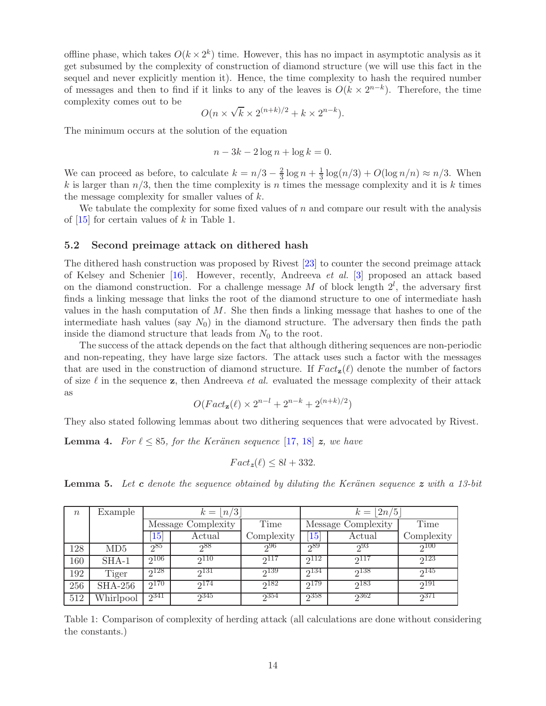offline phase, which takes  $O(k \times 2^k)$  time. However, this has no impact in asymptotic analysis as it get subsumed by the complexity of construction of diamond structure (we will use this fact in the sequel and never explicitly mention it). Hence, the time complexity to hash the required number of messages and then to find if it links to any of the leaves is  $O(k \times 2^{n-k})$ . Therefore, the time complexity comes out to be

$$
O(n \times \sqrt{k} \times 2^{(n+k)/2} + k \times 2^{n-k}).
$$

The minimum occurs at the solution of the equation

$$
n - 3k - 2\log n + \log k = 0.
$$

We can proceed as before, to calculate  $k = n/3 - \frac{2}{3}$  $rac{2}{3}\log n+\frac{1}{3}$  $\frac{1}{3}\log(n/3) + O(\log n/n) \approx n/3$ . When k is larger than  $n/3$ , then the time complexity is n times the message complexity and it is k times the message complexity for smaller values of  $k$ .

We tabulate the complexity for some fixed values of  $n$  and compare our result with the analysis of  $[15]$  for certain values of k in Table [1.](#page-13-0)

### 5.2 Second preimage attack on dithered hash

The dithered hash construction was proposed by Rivest [\[23\]](#page-21-3) to counter the second preimage attack of Kelsey and Schenier [\[16\]](#page-21-2). However, recently, Andreeva et al. [\[3\]](#page-19-0) proposed an attack based on the diamond construction. For a challenge message M of block length  $2^l$ , the adversary first finds a linking message that links the root of the diamond structure to one of intermediate hash values in the hash computation of  $M$ . She then finds a linking message that hashes to one of the intermediate hash values (say  $N_0$ ) in the diamond structure. The adversary then finds the path inside the diamond structure that leads from  $N_0$  to the root.

The success of the attack depends on the fact that although dithering sequences are non-periodic and non-repeating, they have large size factors. The attack uses such a factor with the messages that are used in the construction of diamond structure. If  $Fact_{\mathbf{z}}(\ell)$  denote the number of factors of size  $\ell$  in the sequence z, then Andreeva *et al.* evaluated the message complexity of their attack as

$$
O(Fact_{\mathbf{z}}(\ell) \times 2^{n-l} + 2^{n-k} + 2^{(n+k)/2})
$$

<span id="page-13-1"></span>They also stated following lemmas about two dithering sequences that were advocated by Rivest.

**Lemma 4.** For  $\ell \leq 85$ , for the Keränen sequence [\[17,](#page-21-14) [18\]](#page-21-15)  $\boldsymbol{z}$ , we have

$$
Fact_z(\ell) \le 8l + 332.
$$

<span id="page-13-2"></span>**Lemma 5.** Let  $c$  denote the sequence obtained by diluting the Keränen sequence  $z$  with a 13-bit

| $\boldsymbol{n}$ | Example        | $k =  n/3 $        |           |            | $k =  2n/5 $     |                    |            |
|------------------|----------------|--------------------|-----------|------------|------------------|--------------------|------------|
|                  |                | Message Complexity |           | Time       |                  | Message Complexity | Time       |
|                  |                | 15 <sup>1</sup>    | Actual    | Complexity | $\vert 15 \vert$ | Actual             | Complexity |
| 128              | MD5            | 285                | 288       | 296        | 289              | $2^{93}$           | 2100       |
| 160              | $SHA-1$        | 2106               | 2110      | 211        | 2112             | 211                | $2^{123}$  |
| 192              | Tiger          | 28                 | $2^{131}$ | 2139       | 2134             | $2^{138}$          | $2^{145}$  |
| 256              | <b>SHA-256</b> | $2^{170}$          | 2174      | $2^{182}$  | $2^{179}$        | 2183               | 2191       |
| 512              | Whirlpool      | $2^{341}$          | 2345      | $2^{354}$  | 2358             | $2^{362}$          | 2371       |

<span id="page-13-0"></span>Table 1: Comparison of complexity of herding attack (all calculations are done without considering the constants.)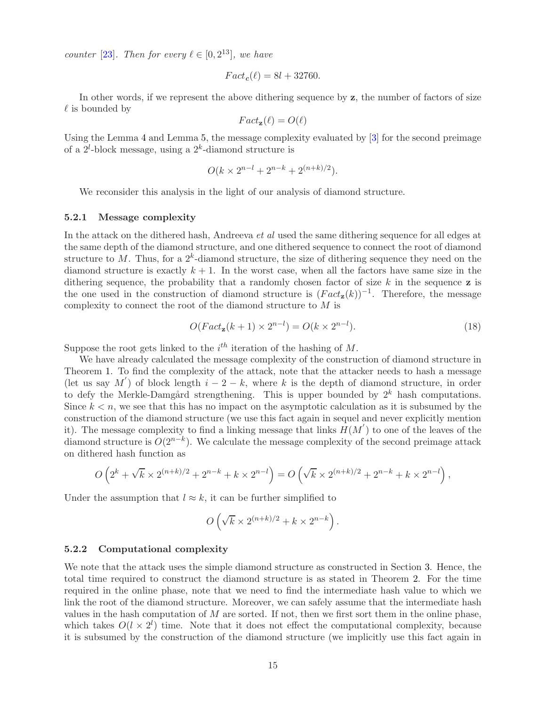counter [\[23\]](#page-21-3). Then for every  $\ell \in [0, 2^{13}]$ , we have

$$
Fact_c(\ell) = 8l + 32760.
$$

In other words, if we represent the above dithering sequence by z, the number of factors of size  $\ell$  is bounded by

$$
Fact_{\mathbf{z}}(\ell) = O(\ell)
$$

Using the Lemma [4](#page-13-1) and Lemma [5,](#page-13-2) the message complexity evaluated by [\[3\]](#page-19-0) for the second preimage of a  $2^l$ -block message, using a  $2^k$ -diamond structure is

$$
O(k \times 2^{n-l} + 2^{n-k} + 2^{(n+k)/2}).
$$

We reconsider this analysis in the light of our analysis of diamond structure.

#### 5.2.1 Message complexity

In the attack on the dithered hash, Andreeva *et al* used the same dithering sequence for all edges at the same depth of the diamond structure, and one dithered sequence to connect the root of diamond structure to M. Thus, for a  $2^k$ -diamond structure, the size of dithering sequence they need on the diamond structure is exactly  $k + 1$ . In the worst case, when all the factors have same size in the dithering sequence, the probability that a randomly chosen factor of size  $k$  in the sequence z is the one used in the construction of diamond structure is  $(Fact_{\mathbf{z}}(k))^{-1}$ . Therefore, the message complexity to connect the root of the diamond structure to M is

<span id="page-14-0"></span>
$$
O(Fact_{\mathbf{z}}(k+1) \times 2^{n-l}) = O(k \times 2^{n-l}).
$$
\n<sup>(18)</sup>

Suppose the root gets linked to the  $i<sup>th</sup>$  iteration of the hashing of M.

We have already calculated the message complexity of the construction of diamond structure in Theorem [1.](#page-6-0) To find the complexity of the attack, note that the attacker needs to hash a message (let us say M') of block length  $i-2-k$ , where k is the depth of diamond structure, in order to defy the Merkle-Damgård strengthening. This is upper bounded by  $2^k$  hash computations. Since  $k < n$ , we see that this has no impact on the asymptotic calculation as it is subsumed by the construction of the diamond structure (we use this fact again in sequel and never explicitly mention it). The message complexity to find a linking message that links  $H(M')$  to one of the leaves of the diamond structure is  $O(2^{n-k})$ . We calculate the message complexity of the second preimage attack on dithered hash function as

$$
O\left(2^k + \sqrt{k} \times 2^{(n+k)/2} + 2^{n-k} + k \times 2^{n-l}\right) = O\left(\sqrt{k} \times 2^{(n+k)/2} + 2^{n-k} + k \times 2^{n-l}\right),
$$

Under the assumption that  $l \approx k$ , it can be further simplified to

$$
O\left(\sqrt{k} \times 2^{(n+k)/2} + k \times 2^{n-k}\right).
$$

### <span id="page-14-1"></span>5.2.2 Computational complexity

We note that the attack uses the simple diamond structure as constructed in Section [3.](#page-5-0) Hence, the total time required to construct the diamond structure is as stated in Theorem [2.](#page-9-0) For the time required in the online phase, note that we need to find the intermediate hash value to which we link the root of the diamond structure. Moreover, we can safely assume that the intermediate hash values in the hash computation of  $M$  are sorted. If not, then we first sort them in the online phase, which takes  $O(l \times 2^{l})$  time. Note that it does not effect the computational complexity, because it is subsumed by the construction of the diamond structure (we implicitly use this fact again in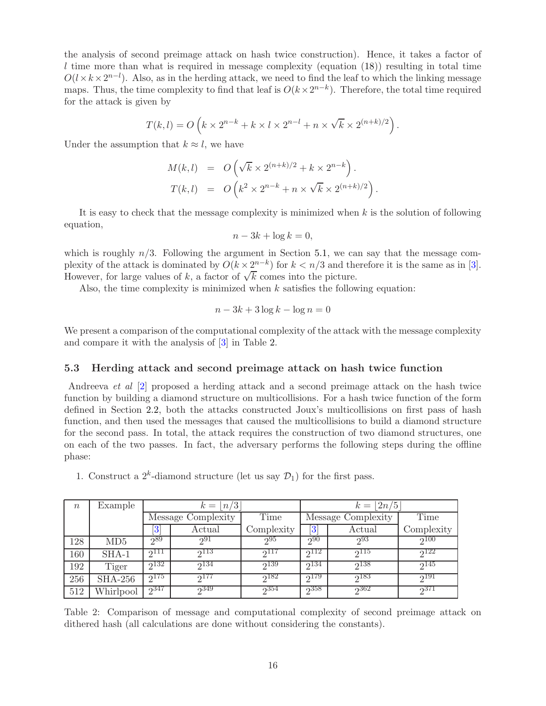the analysis of second preimage attack on hash twice construction). Hence, it takes a factor of  $l$  time more than what is required in message complexity (equation  $(18)$ ) resulting in total time  $O(l \times k \times 2^{n-l})$ . Also, as in the herding attack, we need to find the leaf to which the linking message maps. Thus, the time complexity to find that leaf is  $O(k \times 2^{n-k})$ . Therefore, the total time required for the attack is given by

$$
T(k,l) = O\left(k \times 2^{n-k} + k \times l \times 2^{n-l} + n \times \sqrt{k} \times 2^{(n+k)/2}\right).
$$

Under the assumption that  $k \approx l$ , we have

$$
M(k,l) = O\left(\sqrt{k} \times 2^{(n+k)/2} + k \times 2^{n-k}\right).
$$
  

$$
T(k,l) = O\left(k^2 \times 2^{n-k} + n \times \sqrt{k} \times 2^{(n+k)/2}\right).
$$

It is easy to check that the message complexity is minimized when  $k$  is the solution of following equation,

$$
n - 3k + \log k = 0,
$$

which is roughly  $n/3$ . Following the argument in Section [5.1,](#page-12-1) we can say that the message complexity of the attack is dominated by  $O(k \times 2^{n-k})$  for  $k < n/3$  and therefore it is the same as in [\[3\]](#page-19-0). However, for large values of k, a factor of  $\sqrt{k}$  comes into the picture.

Also, the time complexity is minimized when  $k$  satisfies the following equation:

$$
n - 3k + 3\log k - \log n = 0
$$

We present a comparison of the computational complexity of the attack with the message complexity and compare it with the analysis of [\[3\]](#page-19-0) in Table [2.](#page-15-0)

### <span id="page-15-1"></span>5.3 Herding attack and second preimage attack on hash twice function

Andreeva et al [\[2\]](#page-19-1) proposed a herding attack and a second preimage attack on the hash twice function by building a diamond structure on multicollisions. For a hash twice function of the form defined in Section [2.2,](#page-2-1) both the attacks constructed Joux's multicollisions on first pass of hash function, and then used the messages that caused the multicollisions to build a diamond structure for the second pass. In total, the attack requires the construction of two diamond structures, one on each of the two passes. In fact, the adversary performs the following steps during the offline phase:

1. Construct a  $2^k$ -diamond structure (let us say  $\mathcal{D}_1$ ) for the first pass.

| $\,n$ | Example        | $k =  n/3 $ |                    |            |                | $k =  2n/5 $       |            |
|-------|----------------|-------------|--------------------|------------|----------------|--------------------|------------|
|       |                |             | Message Complexity | Time       |                | Message Complexity | Time       |
|       |                | $\bf{3}$    | Actual             | Complexity | $\overline{3}$ | Actual             | Complexity |
| 128   | MD5            | 289         | 291                | 295        | 290            | $2^{93}$           | 2100       |
| 160   | $SHA-1$        | $2^{111}$   | $2^{113}$          | 2117       | 2112           | $2^{115}$          | $2^{122}$  |
| 192   | Tiger          | $\Omega$    | 2134               | 2139       | 2134           | $2^{138}$          | 2145       |
| 256   | <b>SHA-256</b> | $2^{175}$   | 2177               | $2^{182}$  | 2179           | $2^{183}$          | 2191       |
| 512   | Whirlpool      | 2347        | 2349               | 2354       | 2358           | 2362               | 2371       |

<span id="page-15-0"></span>Table 2: Comparison of message and computational complexity of second preimage attack on dithered hash (all calculations are done without considering the constants).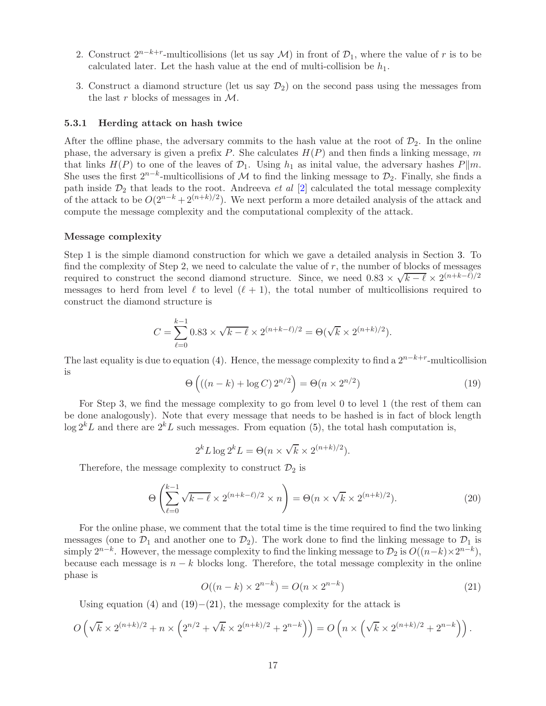- 2. Construct  $2^{n-k+r}$ -multicollisions (let us say M) in front of  $\mathcal{D}_1$ , where the value of r is to be calculated later. Let the hash value at the end of multi-collision be  $h_1$ .
- 3. Construct a diamond structure (let us say  $\mathcal{D}_2$ ) on the second pass using the messages from the last r blocks of messages in  $\mathcal{M}$ .

#### 5.3.1 Herding attack on hash twice

After the offline phase, the adversary commits to the hash value at the root of  $\mathcal{D}_2$ . In the online phase, the adversary is given a prefix  $P$ . She calculates  $H(P)$  and then finds a linking message, m that links  $H(P)$  to one of the leaves of  $\mathcal{D}_1$ . Using  $h_1$  as inital value, the adversary hashes  $P||m$ . She uses the first  $2^{n-k}$ -multicollisions of M to find the linking message to  $\mathcal{D}_2$ . Finally, she finds a path inside  $\mathcal{D}_2$  that leads to the root. Andreeva *et al* [\[2\]](#page-19-1) calculated the total message complexity of the attack to be  $O(2^{n-k} + 2^{(n+k)/2})$ . We next perform a more detailed analysis of the attack and compute the message complexity and the computational complexity of the attack.

#### Message complexity

Step 1 is the simple diamond construction for which we gave a detailed analysis in Section [3.](#page-5-0) To find the complexity of Step 2, we need to calculate the value of  $r$ , the number of blocks of messages required to construct the second diamond structure. Since, we need  $0.83 \times \sqrt{k-\ell} \times 2^{(n+k-\ell)/2}$ messages to herd from level  $\ell$  to level  $(\ell + 1)$ , the total number of multicollisions required to construct the diamond structure is

$$
C = \sum_{\ell=0}^{k-1} 0.83 \times \sqrt{k-\ell} \times 2^{(n+k-\ell)/2} = \Theta(\sqrt{k} \times 2^{(n+k)/2}).
$$

The last equality is due to equation [\(4\)](#page-7-0). Hence, the message complexity to find a  $2^{n-k+r}$ -multicollision is

$$
\Theta\left(\left((n-k)+\log C\right)2^{n/2}\right) = \Theta(n \times 2^{n/2})\tag{19}
$$

<span id="page-16-0"></span>For Step 3, we find the message complexity to go from level 0 to level 1 (the rest of them can be done analogously). Note that every message that needs to be hashed is in fact of block length  $\log 2^{k}L$  and there are  $2^{k}L$  such messages. From equation [\(5\)](#page-8-2), the total hash computation is,

$$
2^k L \log 2^k L = \Theta(n \times \sqrt{k} \times 2^{(n+k)/2}).
$$

Therefore, the message complexity to construct  $\mathcal{D}_2$  is

$$
\Theta\left(\sum_{\ell=0}^{k-1} \sqrt{k-\ell} \times 2^{(n+k-\ell)/2} \times n\right) = \Theta(n \times \sqrt{k} \times 2^{(n+k)/2}).\tag{20}
$$

For the online phase, we comment that the total time is the time required to find the two linking messages (one to  $\mathcal{D}_1$  and another one to  $\mathcal{D}_2$ ). The work done to find the linking message to  $\mathcal{D}_1$  is simply  $2^{n-k}$ . However, the message complexity to find the linking message to  $\mathcal{D}_2$  is  $O((n-k)\times 2^{n-k})$ , because each message is  $n - k$  blocks long. Therefore, the total message complexity in the online phase is

<span id="page-16-1"></span>
$$
O((n-k)\times 2^{n-k})=O(n\times 2^{n-k})
$$
\n
$$
(21)
$$

Using equation [\(4\)](#page-7-0) and [\(19\)](#page-16-0)−[\(21\)](#page-16-1), the message complexity for the attack is

$$
O\left(\sqrt{k} \times 2^{(n+k)/2} + n \times \left(2^{n/2} + \sqrt{k} \times 2^{(n+k)/2} + 2^{n-k}\right)\right) = O\left(n \times \left(\sqrt{k} \times 2^{(n+k)/2} + 2^{n-k}\right)\right).
$$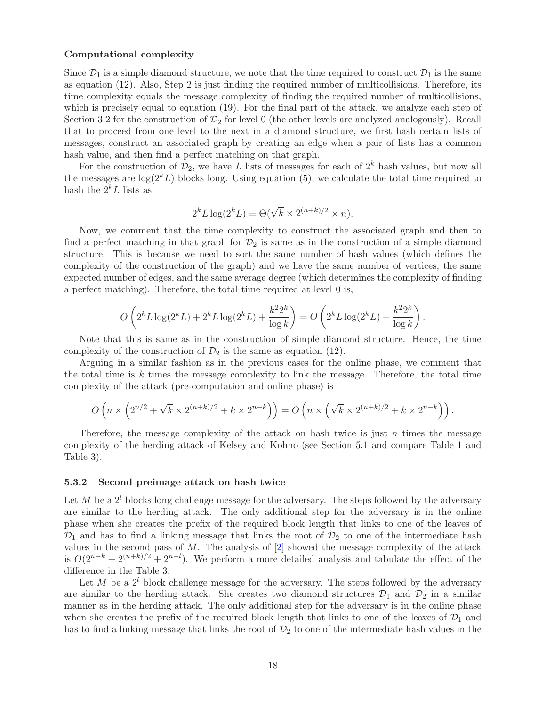#### Computational complexity

Since  $\mathcal{D}_1$  is a simple diamond structure, we note that the time required to construct  $\mathcal{D}_1$  is the same as equation [\(12\)](#page-9-7). Also, Step 2 is just finding the required number of multicollisions. Therefore, its time complexity equals the message complexity of finding the required number of multicollisions, which is precisely equal to equation [\(19\)](#page-16-0). For the final part of the attack, we analyze each step of Section [3.2](#page-7-1) for the construction of  $\mathcal{D}_2$  for level 0 (the other levels are analyzed analogously). Recall that to proceed from one level to the next in a diamond structure, we first hash certain lists of messages, construct an associated graph by creating an edge when a pair of lists has a common hash value, and then find a perfect matching on that graph.

For the construction of  $\mathcal{D}_2$ , we have L lists of messages for each of  $2^k$  hash values, but now all the messages are  $log(2^{k}L)$  blocks long. Using equation [\(5\)](#page-8-2), we calculate the total time required to hash the  $2^k L$  lists as

$$
2^{k}L\log(2^{k}L) = \Theta(\sqrt{k} \times 2^{(n+k)/2} \times n).
$$

Now, we comment that the time complexity to construct the associated graph and then to find a perfect matching in that graph for  $\mathcal{D}_2$  is same as in the construction of a simple diamond structure. This is because we need to sort the same number of hash values (which defines the complexity of the construction of the graph) and we have the same number of vertices, the same expected number of edges, and the same average degree (which determines the complexity of finding a perfect matching). Therefore, the total time required at level 0 is,

$$
O\left(2^k L \log(2^k L) + 2^k L \log(2^k L) + \frac{k^2 2^k}{\log k}\right) = O\left(2^k L \log(2^k L) + \frac{k^2 2^k}{\log k}\right).
$$

Note that this is same as in the construction of simple diamond structure. Hence, the time complexity of the construction of  $\mathcal{D}_2$  is the same as equation [\(12\)](#page-9-7).

Arguing in a similar fashion as in the previous cases for the online phase, we comment that the total time is  $k$  times the message complexity to link the message. Therefore, the total time complexity of the attack (pre-computation and online phase) is

$$
O\left(n \times \left(2^{n/2} + \sqrt{k} \times 2^{(n+k)/2} + k \times 2^{n-k}\right)\right) = O\left(n \times \left(\sqrt{k} \times 2^{(n+k)/2} + k \times 2^{n-k}\right)\right).
$$

Therefore, the message complexity of the attack on hash twice is just  $n$  times the message complexity of the herding attack of Kelsey and Kohno (see Section [5.1](#page-12-1) and compare Table [1](#page-13-0) and Table [3\)](#page-18-0).

#### 5.3.2 Second preimage attack on hash twice

Let  $M$  be a  $2^l$  blocks long challenge message for the adversary. The steps followed by the adversary are similar to the herding attack. The only additional step for the adversary is in the online phase when she creates the prefix of the required block length that links to one of the leaves of  $\mathcal{D}_1$  and has to find a linking message that links the root of  $\mathcal{D}_2$  to one of the intermediate hash values in the second pass of  $M$ . The analysis of  $[2]$  showed the message complexity of the attack is  $O(2^{n-k} + 2^{(n+k)/2} + 2^{n-l})$ . We perform a more detailed analysis and tabulate the effect of the difference in the Table [3.](#page-18-0)

Let M be a  $2^l$  block challenge message for the adversary. The steps followed by the adversary are similar to the herding attack. She creates two diamond structures  $\mathcal{D}_1$  and  $\mathcal{D}_2$  in a similar manner as in the herding attack. The only additional step for the adversary is in the online phase when she creates the prefix of the required block length that links to one of the leaves of  $\mathcal{D}_1$  and has to find a linking message that links the root of  $\mathcal{D}_2$  to one of the intermediate hash values in the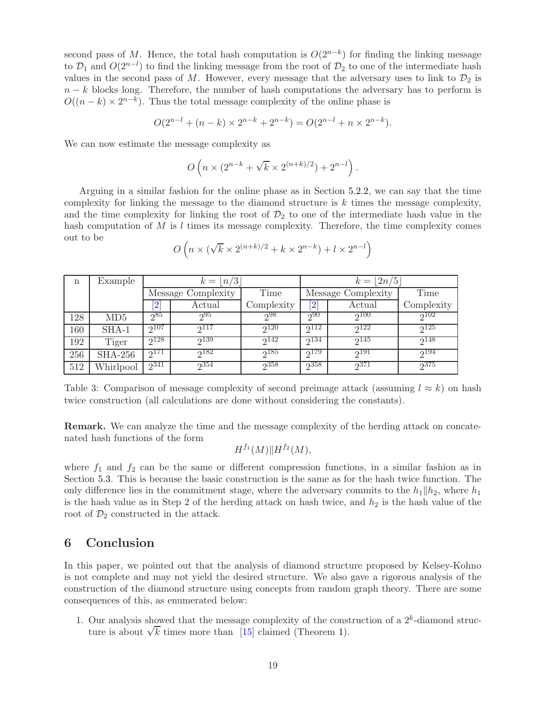second pass of M. Hence, the total hash computation is  $O(2^{n-k})$  for finding the linking message to  $\mathcal{D}_1$  and  $O(2^{n-l})$  to find the linking message from the root of  $\mathcal{D}_2$  to one of the intermediate hash values in the second pass of M. However, every message that the adversary uses to link to  $\mathcal{D}_2$  is  $n - k$  blocks long. Therefore, the number of hash computations the adversary has to perform is  $O((n-k) \times 2^{n-k})$ . Thus the total message complexity of the online phase is

$$
O(2^{n-l} + (n-k) \times 2^{n-k} + 2^{n-k}) = O(2^{n-l} + n \times 2^{n-k}).
$$

We can now estimate the message complexity as

$$
O\left(n \times (2^{n-k} + \sqrt{k} \times 2^{(n+k)/2}) + 2^{n-l}\right).
$$

Arguing in a similar fashion for the online phase as in Section [5.2.2,](#page-14-1) we can say that the time complexity for linking the message to the diamond structure is  $k$  times the message complexity, and the time complexity for linking the root of  $\mathcal{D}_2$  to one of the intermediate hash value in the hash computation of  $M$  is  $l$  times its message complexity. Therefore, the time complexity comes out to be

| n   | Example         | $k =  n/3 $        |           |            | $k =  2n/5 $       |           |            |
|-----|-----------------|--------------------|-----------|------------|--------------------|-----------|------------|
|     |                 | Message Complexity |           | Time       | Message Complexity |           | Time       |
|     |                 | 2                  | Actual    | Complexity | 2                  | Actual    | Complexity |
| 128 | MD <sub>5</sub> | 285                | 295       | 298        | 290                | 2100      | $2^{102}$  |
| 160 | $SHA-1$         | 2107               | $2^{117}$ | 2120       | $2^{112}$          | $2^{122}$ | $2^{125}$  |
| 192 | Tiger           | $2^{128}$          | $2^{139}$ | 2.142      | 2134               | $2^{145}$ | 2148       |
| 256 | <b>SHA-256</b>  | 2171               | $2^{182}$ | 2185       | 2179               | 2191      | $2^{194}$  |
| 512 | Whirlpool       | $2^{341}$          | 2354      | $2^{358}$  | 2358               | 2371      | $2^{375}$  |

$$
O\left(n \times (\sqrt{k} \times 2^{(n+k)/2} + k \times 2^{n-k}) + l \times 2^{n-l}\right)
$$

<span id="page-18-0"></span>Table 3: Comparison of message complexity of second preimage attack (assuming  $l \approx k$ ) on hash twice construction (all calculations are done without considering the constants).

Remark. We can analyze the time and the message complexity of the herding attack on concatenated hash functions of the form

$$
H^{f_1}(M) \| H^{f_2}(M),
$$

where  $f_1$  and  $f_2$  can be the same or different compression functions, in a similar fashion as in Section [5.3.](#page-15-1) This is because the basic construction is the same as for the hash twice function. The only difference lies in the commitment stage, where the adversary commits to the  $h_1||h_2$ , where  $h_1$ is the hash value as in Step 2 of the herding attack on hash twice, and  $h_2$  is the hash value of the root of  $\mathcal{D}_2$  constructed in the attack.

# 6 Conclusion

In this paper, we pointed out that the analysis of diamond structure proposed by Kelsey-Kohno is not complete and may not yield the desired structure. We also gave a rigorous analysis of the construction of the diamond structure using concepts from random graph theory. There are some consequences of this, as enumerated below:

1. Our analysis showed that the message complexity of the construction of a  $2<sup>k</sup>$ -diamond strucour analysis showed that the message completing of the constant tire is about  $\sqrt{k}$  times more than [\[15\]](#page-21-0) claimed (Theorem [1\)](#page-6-0).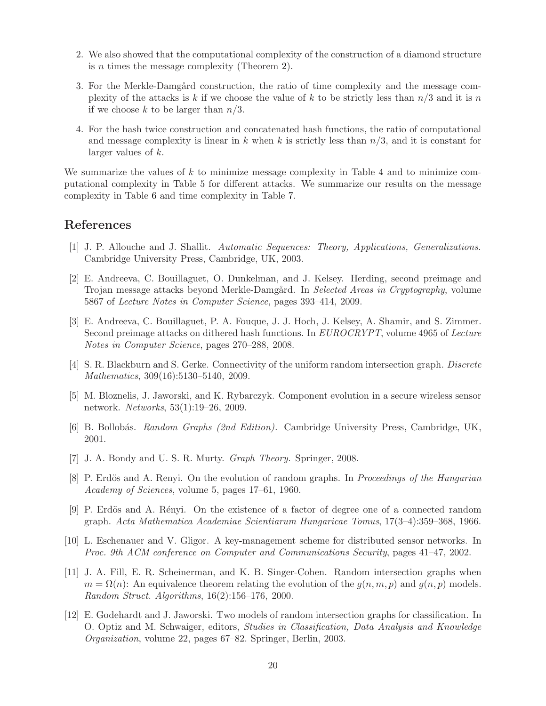- 2. We also showed that the computational complexity of the construction of a diamond structure is n times the message complexity (Theorem [2\)](#page-9-0).
- 3. For the Merkle-Damgård construction, the ratio of time complexity and the message complexity of the attacks is k if we choose the value of k to be strictly less than  $n/3$  and it is n if we choose k to be larger than  $n/3$ .
- 4. For the hash twice construction and concatenated hash functions, the ratio of computational and message complexity is linear in k when k is strictly less than  $n/3$ , and it is constant for larger values of k.

We summarize the values of k to minimize message complexity in Table [4](#page-20-0) and to minimize computational complexity in Table [5](#page-20-1) for different attacks. We summarize our results on the message complexity in Table [6](#page-20-2) and time complexity in Table [7.](#page-20-3)

# <span id="page-19-3"></span>References

- <span id="page-19-1"></span>[1] J. P. Allouche and J. Shallit. Automatic Sequences: Theory, Applications, Generalizations. Cambridge University Press, Cambridge, UK, 2003.
- [2] E. Andreeva, C. Bouillaguet, O. Dunkelman, and J. Kelsey. Herding, second preimage and Trojan message attacks beyond Merkle-Damgård. In Selected Areas in Cryptography, volume 5867 of Lecture Notes in Computer Science, pages 393–414, 2009.
- <span id="page-19-0"></span>[3] E. Andreeva, C. Bouillaguet, P. A. Fouque, J. J. Hoch, J. Kelsey, A. Shamir, and S. Zimmer. Second preimage attacks on dithered hash functions. In EUROCRYPT, volume 4965 of Lecture Notes in Computer Science, pages 270–288, 2008.
- <span id="page-19-4"></span>[4] S. R. Blackburn and S. Gerke. Connectivity of the uniform random intersection graph. Discrete Mathematics, 309(16):5130–5140, 2009.
- <span id="page-19-8"></span>[5] M. Bloznelis, J. Jaworski, and K. Rybarczyk. Component evolution in a secure wireless sensor network. Networks, 53(1):19–26, 2009.
- <span id="page-19-11"></span><span id="page-19-2"></span>[6] B. Bollob´as. Random Graphs (2nd Edition). Cambridge University Press, Cambridge, UK, 2001.
- <span id="page-19-7"></span>[7] J. A. Bondy and U. S. R. Murty. Graph Theory. Springer, 2008.
- [8] P. Erdös and A. Renyi. On the evolution of random graphs. In *Proceedings of the Hungarian* Academy of Sciences, volume 5, pages 17–61, 1960.
- <span id="page-19-6"></span>[9] P. Erdös and A. Rényi. On the existence of a factor of degree one of a connected random graph. Acta Mathematica Academiae Scientiarum Hungaricae Tomus, 17(3–4):359–368, 1966.
- <span id="page-19-5"></span>[10] L. Eschenauer and V. Gligor. A key-management scheme for distributed sensor networks. In Proc. 9th ACM conference on Computer and Communications Security, pages 41–47, 2002.
- <span id="page-19-9"></span>[11] J. A. Fill, E. R. Scheinerman, and K. B. Singer-Cohen. Random intersection graphs when  $m = \Omega(n)$ : An equivalence theorem relating the evolution of the  $g(n, m, p)$  and  $g(n, p)$  models. Random Struct. Algorithms, 16(2):156–176, 2000.
- <span id="page-19-10"></span>[12] E. Godehardt and J. Jaworski. Two models of random intersection graphs for classification. In O. Optiz and M. Schwaiger, editors, Studies in Classification, Data Analysis and Knowledge Organization, volume 22, pages 67–82. Springer, Berlin, 2003.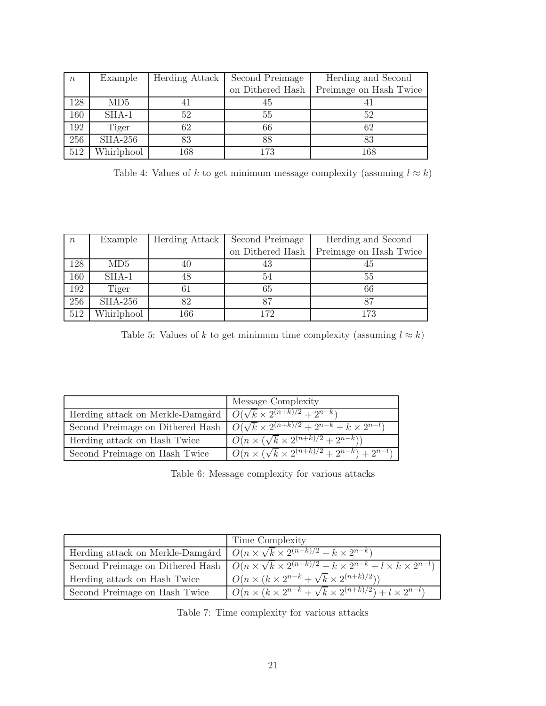| $\boldsymbol{n}$ | Example         | Herding Attack | Second Preimage  | Herding and Second     |
|------------------|-----------------|----------------|------------------|------------------------|
|                  |                 |                | on Dithered Hash | Preimage on Hash Twice |
| 128              | MD <sub>5</sub> |                | 45               |                        |
| 160              | $SHA-1$         | 52             | 55               | 52                     |
| 192              | Tiger           |                | 66               |                        |
| 256              | <b>SHA-256</b>  |                | 88               | 83                     |
| 512              | Whirlphool      | 168            | 173              | 168                    |

<span id="page-20-0"></span>Table 4: Values of  $k$  to get minimum message complexity (assuming  $l\approx k)$ 

| $\boldsymbol{n}$ | Example        | Herding Attack | Second Preimage  | Herding and Second     |
|------------------|----------------|----------------|------------------|------------------------|
|                  |                |                | on Dithered Hash | Preimage on Hash Twice |
| 128              | MD5            |                | 43               | 45                     |
| 160              | $SHA-1$        |                | 54               | 55                     |
| 192              | Tiger          | 61             | 65               | 66                     |
| 256              | <b>SHA-256</b> | 82             | 87               | 87                     |
| 512              | Whirlphool     | 166            | 172              | 173                    |

<span id="page-20-1"></span>Table 5: Values of  $k$  to get minimum time complexity (assuming  $l\approx k)$ 

|                                                                                                | Message Complexity                                              |
|------------------------------------------------------------------------------------------------|-----------------------------------------------------------------|
| Herding attack on Merkle-Damgård $\int O(\sqrt{k} \times 2^{(n+k)/2} + 2^{n-k})$               |                                                                 |
| Second Preimage on Dithered Hash $O(\sqrt{k} \times 2^{(n+k)/2} + 2^{n-k} + k \times 2^{n-l})$ |                                                                 |
| Herding attack on Hash Twice                                                                   | $O(n \times (\sqrt{k} \times 2^{(n+k)/2} + 2^{n-k}))$           |
| Second Preimage on Hash Twice                                                                  | $O(n \times (\sqrt{k} \times 2^{(n+k)/2} + 2^{n-k}) + 2^{n-l})$ |

<span id="page-20-2"></span>Table 6: Message complexity for various attacks

|                                  | Time Complexity                                                                                 |
|----------------------------------|-------------------------------------------------------------------------------------------------|
| Herding attack on Merkle-Damgård | $\left  O(n \times \sqrt{k} \times 2^{(n+k)/2} + k \times 2^{n-k}) \right $                     |
| Second Preimage on Dithered Hash | $\bigg  O(n \times \sqrt{k} \times 2^{(n+k)/2} + k \times 2^{n-k} + l \times k \times 2^{n-l})$ |
| Herding attack on Hash Twice     | $O(n \times (k \times 2^{n-k} + \sqrt{k} \times 2^{(n+k)/2}))$                                  |
| Second Preimage on Hash Twice    | $O(n \times (k \times 2^{n-k} + \sqrt{k} \times 2^{(n+k)/2}) + l \times 2^{n-l})$               |

<span id="page-20-3"></span>Table 7: Time complexity for various attacks